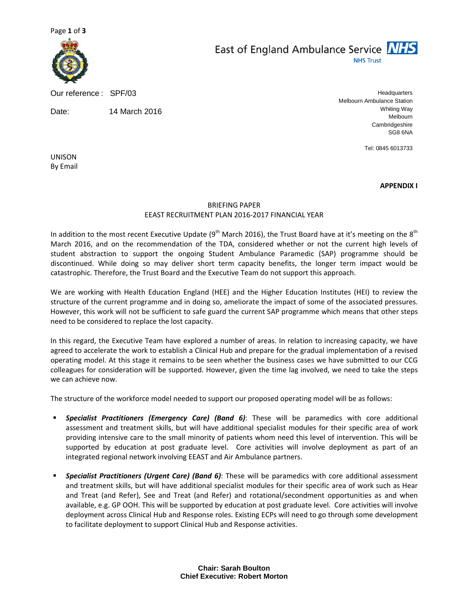

Our reference : SPF/03

Date: 14 March 2016

East of England Ambulance Service NHS **NHS Trust** 

> **Headquarters** Melbourn Ambulance Station Whiting Way Melbourn Cambridgeshire SG8 6NA

> > Tel: 0845 6013733

UNISON By Email

APPENDIX I

## BRIEFING PAPER EEAST RECRUITMENT PLAN 2016-2017 FINANCIAL YEAR

In addition to the most recent Executive Update ( $9<sup>th</sup>$  March 2016), the Trust Board have at it's meeting on the  $8<sup>th</sup>$ March 2016, and on the recommendation of the TDA, considered whether or not the current high levels of student abstraction to support the ongoing Student Ambulance Paramedic (SAP) programme should be discontinued. While doing so may deliver short term capacity benefits, the longer term impact would be catastrophic. Therefore, the Trust Board and the Executive Team do not support this approach.

We are working with Health Education England (HEE) and the Higher Education Institutes (HEI) to review the structure of the current programme and in doing so, ameliorate the impact of some of the associated pressures. However, this work will not be sufficient to safe guard the current SAP programme which means that other steps need to be considered to replace the lost capacity.

In this regard, the Executive Team have explored a number of areas. In relation to increasing capacity, we have agreed to accelerate the work to establish a Clinical Hub and prepare for the gradual implementation of a revised operating model. At this stage it remains to be seen whether the business cases we have submitted to our CCG colleagues for consideration will be supported. However, given the time lag involved, we need to take the steps we can achieve now.

The structure of the workforce model needed to support our proposed operating model will be as follows:

- **Specialist Practitioners (Emergency Care) (Band 6)**: These will be paramedics with core additional assessment and treatment skills, but will have additional specialist modules for their specific area of work providing intensive care to the small minority of patients whom need this level of intervention. This will be supported by education at post graduate level. Core activities will involve deployment as part of an integrated regional network involving EEAST and Air Ambulance partners.
- **Specialist Practitioners (Urgent Care) (Band 6)**: These will be paramedics with core additional assessment and treatment skills, but will have additional specialist modules for their specific area of work such as Hear and Treat (and Refer), See and Treat (and Refer) and rotational/secondment opportunities as and when available, e.g. GP OOH. This will be supported by education at post graduate level. Core activities will involve deployment across Clinical Hub and Response roles. Existing ECPs will need to go through some development to facilitate deployment to support Clinical Hub and Response activities.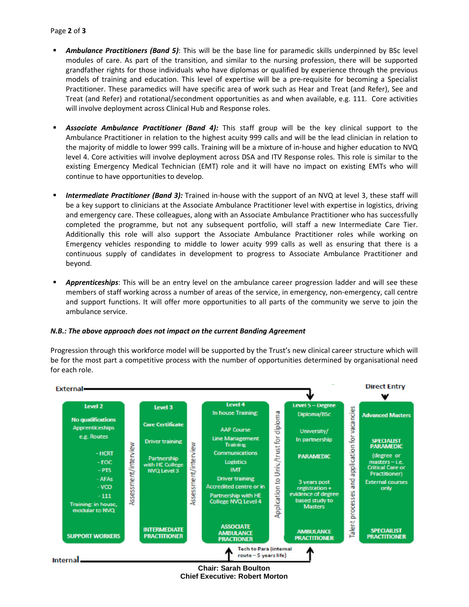- **Ambulance Practitioners (Band 5):** This will be the base line for paramedic skills underpinned by BSc level modules of care. As part of the transition, and similar to the nursing profession, there will be supported grandfather rights for those individuals who have diplomas or qualified by experience through the previous models of training and education. This level of expertise will be a pre-requisite for becoming a Specialist Practitioner. These paramedics will have specific area of work such as Hear and Treat (and Refer), See and Treat (and Refer) and rotational/secondment opportunities as and when available, e.g. 111. Core activities will involve deployment across Clinical Hub and Response roles.
- Associate Ambulance Practitioner (Band 4): This staff group will be the key clinical support to the Ambulance Practitioner in relation to the highest acuity 999 calls and will be the lead clinician in relation to the majority of middle to lower 999 calls. Training will be a mixture of in-house and higher education to NVQ level 4. Core activities will involve deployment across DSA and ITV Response roles. This role is similar to the existing Emergency Medical Technician (EMT) role and it will have no impact on existing EMTs who will continue to have opportunities to develop.
- **Intermediate Practitioner (Band 3):** Trained in-house with the support of an NVQ at level 3, these staff will be a key support to clinicians at the Associate Ambulance Practitioner level with expertise in logistics, driving and emergency care. These colleagues, along with an Associate Ambulance Practitioner who has successfully completed the programme, but not any subsequent portfolio, will staff a new Intermediate Care Tier. Additionally this role will also support the Associate Ambulance Practitioner roles while working on Emergency vehicles responding to middle to lower acuity 999 calls as well as ensuring that there is a continuous supply of candidates in development to progress to Associate Ambulance Practitioner and beyond.
- Apprenticeships: This will be an entry level on the ambulance career progression ladder and will see these members of staff working across a number of areas of the service, in emergency, non-emergency, call centre and support functions. It will offer more opportunities to all parts of the community we serve to join the ambulance service.

## N.B.: The above approach does not impact on the current Banding Agreement

Progression through this workforce model will be supported by the Trust's new clinical career structure which will be for the most part a competitive process with the number of opportunities determined by organisational need for each role.



**Chair: Sarah Boulton Chief Executive: Robert Morton**